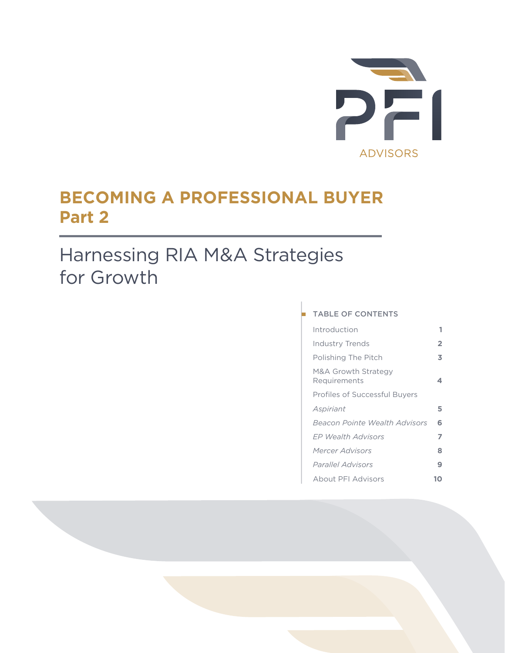

## **BECOMING A PROFESSIONAL BUYER Part 2**

## Harnessing RIA M&A Strategies for Growth

## TABLE OF CONTENTS

| Introduction                         | 1 |
|--------------------------------------|---|
| <b>Industry Trends</b>               | 2 |
| Polishing The Pitch                  | 3 |
| M&A Growth Strategy<br>Requirements  | 4 |
| <b>Profiles of Successful Buyers</b> |   |
| Aspiriant                            | 5 |
| Beacon Pointe Wealth Advisors        | 6 |
| FP Wealth Advisors                   | 7 |
| Mercer Advisors                      | 8 |
| <i>Parallel Advisors</i>             | 9 |
| About PFI Advisors                   | Ω |
|                                      |   |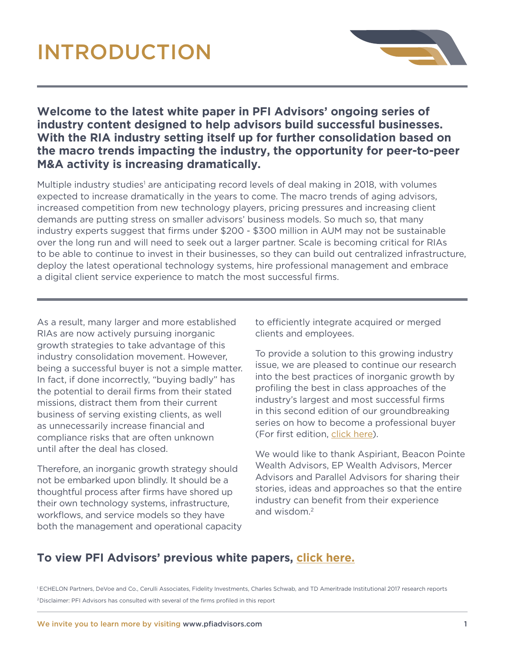# INTRODUCTION



## **Welcome to the latest white paper in PFI Advisors' ongoing series of industry content designed to help advisors build successful businesses. With the RIA industry setting itself up for further consolidation based on the macro trends impacting the industry, the opportunity for peer-to-peer M&A activity is increasing dramatically.**

Multiple industry studies<sup>1</sup> are anticipating record levels of deal making in 2018, with volumes expected to increase dramatically in the years to come. The macro trends of aging advisors, increased competition from new technology players, pricing pressures and increasing client demands are putting stress on smaller advisors' business models. So much so, that many industry experts suggest that firms under \$200 - \$300 million in AUM may not be sustainable over the long run and will need to seek out a larger partner. Scale is becoming critical for RIAs to be able to continue to invest in their businesses, so they can build out centralized infrastructure, deploy the latest operational technology systems, hire professional management and embrace a digital client service experience to match the most successful firms.

As a result, many larger and more established RIAs are now actively pursuing inorganic growth strategies to take advantage of this industry consolidation movement. However, being a successful buyer is not a simple matter. In fact, if done incorrectly, "buying badly" has the potential to derail firms from their stated missions, distract them from their current business of serving existing clients, as well as unnecessarily increase financial and compliance risks that are often unknown until after the deal has closed.

Therefore, an inorganic growth strategy should not be embarked upon blindly. It should be a thoughtful process after firms have shored up their own technology systems, infrastructure, workflows, and service models so they have both the management and operational capacity to efficiently integrate acquired or merged clients and employees.

To provide a solution to this growing industry issue, we are pleased to continue our research into the best practices of inorganic growth by profiling the best in class approaches of the .<br>Industry's largest and most successful firms in this second edition of our groundbreaking are this second caller or our groundbreaking (For first editio[n, click here\).](http://pfiadvisors.com/pfi-advisors-industry-white-paper-becoming-a-professional-buyer/)  $\circ$  thi de a  $IndU$ 

We would like to thank Aspiriant, Beacon Pointe Wealth Advisors, EP Wealth Advisors, Mercer Advisors and Parallel Advisors for sharing their stories, ideas and approaches so that the entire industry can benefit from their experience and wisdom.2

## **To view PFI Advisors' previous white pape[rs, click here.](http://pfiadvisors.com/category/white-papers/)**

<sup>1</sup> [ECHELON Partners,](https://docs.wixstatic.com/ugd/694b5b_2d9e6bfe61af47a3b4d2af86cefd3547.pdf) [DeVoe and Co.,](https://static1.squarespace.com/static/5410ec1be4b0b9bdbd0cc342/t/5a6021f0f9619a7f88042b54/1516249699271/DeVoe+RIA+Deal+Book%E2%84%A2+2017+Annual+Review.pdf) [Cerulli Associates,](https://www.cerulli.com/vapi/public/getcerullifile?filecid=Cerulli-2017-RIA-Marketplace-Information-Packet) [Fidelity Investments,](https://clearingcustody.fidelity.com/app/proxy/content?literatureURL=/9887507.PDF) [Charles Schwab, a](https://aboutschwab.com/images/uploads/inline/2017-RIA-Benchmarking-Study_Results-0717-7ZSV.pdf)n[d TD Ameritrade Institutional 2017 research reports](http://www.fainsightsecure.com/) 2Disclaimer: PFI Advisors has consulted with several of the firms profiled in this report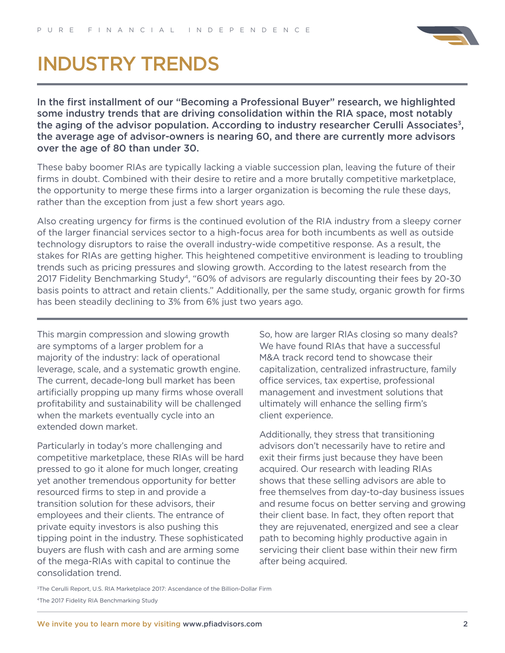

## INDUSTRY TRENDS

In the first installment of our "Becoming a Professional Buyer" research, we highlighted some industry trends that are driving consolidation within the RIA space, most notably the aging of the advisor population. According to industry researcher Cerulli Associates<sup>3</sup>, the average age of advisor-owners is nearing 60, and there are currently more advisors over the age of 80 than under 30.

These baby boomer RIAs are typically lacking a viable succession plan, leaving the future of their firms in doubt. Combined with their desire to retire and a more brutally competitive marketplace, the opportunity to merge these firms into a larger organization is becoming the rule these days, rather than the exception from just a few short years ago.

Also creating urgency for firms is the continued evolution of the RIA industry from a sleepy corner of the larger financial services sector to a high-focus area for both incumbents as well as outside technology disruptors to raise the overall industry-wide competitive response. As a result, the stakes for RIAs are getting higher. This heightened competitive environment is leading to troubling trends such as pricing pressures and slowing growth. According to the latest research from the 2017 Fidelity Benchmarking Study<sup>4</sup>, "60% of advisors are regularly discounting their fees by 20-30 basis points to attract and retain clients." Additionally, per the same study, organic growth for firms has been steadily declining to 3% from 6% just two years ago.

This margin compression and slowing growth are symptoms of a larger problem for a majority of the industry: lack of operational leverage, scale, and a systematic growth engine. The current, decade-long bull market has been artificially propping up many firms whose overall profitability and sustainability will be challenged when the markets eventually cycle into an extended down market.

Particularly in today's more challenging and competitive marketplace, these RIAs will be hard pressed to go it alone for much longer, creating yet another tremendous opportunity for better resourced firms to step in and provide a transition solution for these advisors, their employees and their clients. The entrance of private equity investors is also pushing this tipping point in the industry. These sophisticated buyers are flush with cash and are arming some of the mega-RIAs with capital to continue the consolidation trend.

So, how are larger RIAs closing so many deals? We have found RIAs that have a successful M&A track record tend to showcase their capitalization, centralized infrastructure, family office services, tax expertise, professional management and investment solutions that ultimately will enhance the selling firm's client experience.

Additionally, they stress that transitioning advisors don't necessarily have to retire and exit their firms just because they have been acquired. Our research with leading RIAs shows that these selling advisors are able to free themselves from day-to-day business issues and resume focus on better serving and growing their client base. In fact, they often report that they are rejuvenated, energized and see a clear path to becoming highly productive again in servicing their client base within their new firm after being acquired.

<sup>3</sup>The Cerulli Report, U.S. RIA Marketplace 2017: Ascendance of the Billion-Dollar Firm

[<sup>4</sup>The 2017 Fidelity RIA Benchmarking Study](https://clearingcustody.fidelity.com/app/literature/item/9882273.html)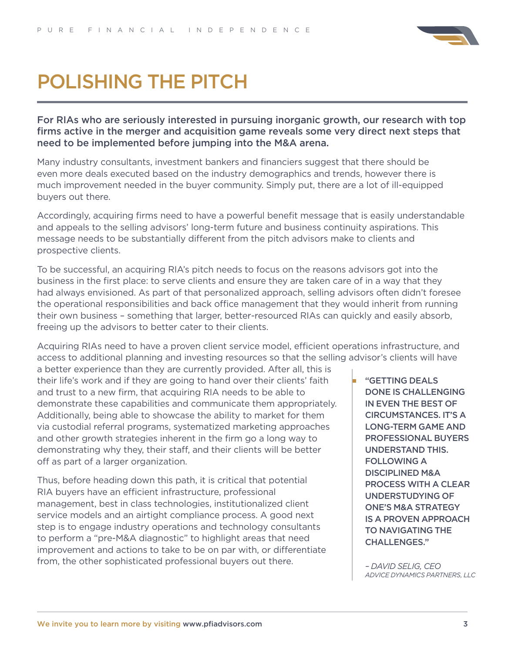

## POLISHING THE PITCH

For RIAs who are seriously interested in pursuing inorganic growth, our research with top firms active in the merger and acquisition game reveals some very direct next steps that need to be implemented before jumping into the M&A arena.

Many industry consultants, investment bankers and financiers suggest that there should be even more deals executed based on the industry demographics and trends, however there is much improvement needed in the buyer community. Simply put, there are a lot of ill-equipped buyers out there.

Accordingly, acquiring firms need to have a powerful benefit message that is easily understandable R G B and appeals to the selling advisors' long-term future and business continuity aspirations. This message needs to be substantially different from the pitch advisors make to clients and prospective clients.

To be successful, an acquiring RIA's pitch needs to focus on the reasons advisors got into the business in the first place: to serve clients and ensure they are taken care of in a way that they had always envisioned. As part of that personalized approach, selling advisors often didn't foresee the operational responsibilities and back office management that they would inherit from running their own business – something that larger, better-resourced RIAs can quickly and easily absorb, freeing up the advisors to better cater to their clients.

Acquiring RIAs need to have a proven client service model, efficient operations infrastructure, and access to additional planning and investing resources so that the selling advisor's clients will have

a better experience than they are currently provided. After all, this is their life's work and if they are going to hand over their clients' faith and trust to a new firm, that acquiring RIA needs to be able to demonstrate these capabilities and communicate them appropriately. Additionally, being able to showcase the ability to market for them via custodial referral programs, systematized marketing approaches and other growth strategies inherent in the firm go a long way to demonstrating why they, their staff, and their clients will be better off as part of a larger organization.

Thus, before heading down this path, it is critical that potential RIA buyers have an efficient infrastructure, professional management, best in class technologies, institutionalized client service models and an airtight compliance process. A good next step is to engage industry operations and technology consultants to perform a "pre-M&A diagnostic" to highlight areas that need improvement and actions to take to be on par with, or differentiate from, the other sophisticated professional buyers out there.

"GETTING DEALS DONE IS CHALLENGING IN EVEN THE BEST OF CIRCUMSTANCES. IT'S A LONG-TERM GAME AND PROFESSIONAL BUYERS UNDERSTAND THIS. FOLLOWING A DISCIPLINED M&A PROCESS WITH A CLEAR UNDERSTUDYING OF ONE'S M&A STRATEGY IS A PROVEN APPROACH TO NAVIGATING THE CHALLENGES."

*– DAVID SELIG, CEO ADVICE DYNAMICS PARTNERS, LLC*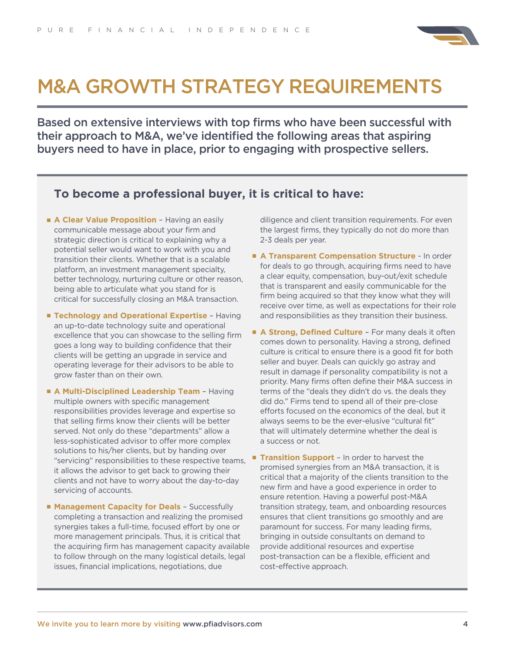

## M&A GROWTH STRATEGY REQUIREMENTS

Based on extensive interviews with top firms who have been successful with their approach to M&A, we've identified the following areas that aspiring buyers need to have in place, prior to engaging with prospective sellers.

### **To become a professional buyer, it is critical to have:**

- **A Clear Value Proposition** Having an easily communicable message about your firm and strategic direction is critical to explaining why a potential seller would want to work with you and transition their clients. Whether that is a scalable platform, an investment management specialty, better technology, nurturing culture or other reason, being able to articulate what you stand for is critical for successfully closing an M&A transaction.
- **Technology and Operational Expertise** Having an up-to-date technology suite and operational excellence that you can showcase to the selling firm goes a long way to building confidence that their clients will be getting an upgrade in service and operating leverage for their advisors to be able to grow faster than on their own.
- **A Multi-Disciplined Leadership Team** Having multiple owners with specific management responsibilities provides leverage and expertise so that selling firms know their clients will be better served. Not only do these "departments" allow a less-sophisticated advisor to offer more complex solutions to his/her clients, but by handing over "servicing" responsibilities to these respective teams, it allows the advisor to get back to growing their clients and not have to worry about the day-to-day servicing of accounts.
- **Management Capacity for Deals** Successfully completing a transaction and realizing the promised synergies takes a full-time, focused effort by one or more management principals. Thus, it is critical that the acquiring firm has management capacity available to follow through on the many logistical details, legal issues, financial implications, negotiations, due

diligence and client transition requirements. For even the largest firms, they typically do not do more than 2-3 deals per year.

- **A Transparent Compensation Structure** In order for deals to go through, acquiring firms need to have a clear equity, compensation, buy-out/exit schedule that is transparent and easily communicable for the firm being acquired so that they know what they will receive over time, as well as expectations for their role and responsibilities as they transition their business.
- A **Strong, Defined Culture** For many deals it often comes down to personality. Having a strong, defined culture is critical to ensure there is a good fit for both seller and buyer. Deals can quickly go astray and result in damage if personality compatibility is not a priority. Many firms often define their M&A success in terms of the "deals they didn't do vs. the deals they did do." Firms tend to spend all of their pre-close efforts focused on the economics of the deal, but it always seems to be the ever-elusive "cultural fit" that will ultimately determine whether the deal is a success or not.
- **Transition Support** In order to harvest the promised synergies from an M&A transaction, it is critical that a majority of the clients transition to the new firm and have a good experience in order to ensure retention. Having a powerful post-M&A transition strategy, team, and onboarding resources ensures that client transitions go smoothly and are paramount for success. For many leading firms, bringing in outside consultants on demand to provide additional resources and expertise post-transaction can be a flexible, efficient and cost-effective approach.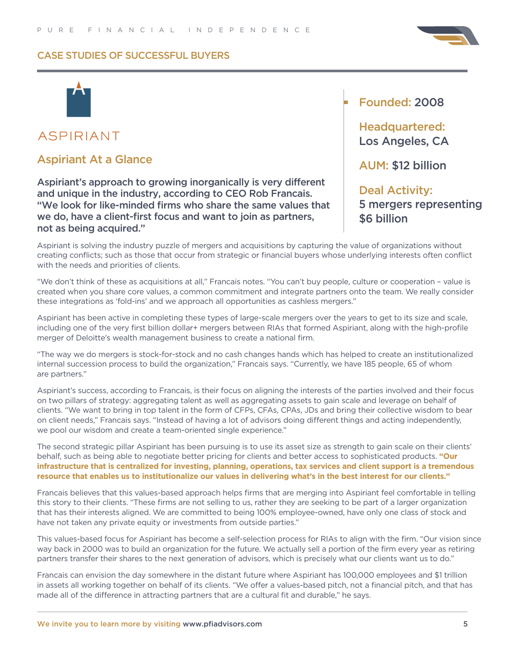

## **ASPIRIANT**

## Aspiriant At a Glance

Aspiriant's approach to growing inorganically is very different and unique in the industry, according to CEO Rob Francais. "We look for like-minded firms who share the same values that we do, have a client-first focus and want to join as partners, not as being acquired."

## Founded: 2008

Headquartered: Los Angeles, CA

AUM: \$12 billion

#### Deal Activity: 5 mergers representing  $\sim$ K 9 \$6 billion

Aspiriant is solving the industry puzzle of mergers and acquisitions by capturing the value of organizations without creating conflicts; such as those that occur from strategic or financial buyers whose underlying interests often conflict with the needs and priorities of clients.

"We don't think of these as acquisitions at all," Francais notes. "You can't buy people, culture or cooperation – value is created when you share core values, a common commitment and integrate partners onto the team. We really consider these integrations as 'fold-ins' and we approach all opportunities as cashless mergers."

Aspiriant has been active in completing these types of large-scale mergers over the years to get to its size and scale, including one of the very first billion dollar+ mergers between RIAs that formed Aspiriant, along with the high-profile merger of Deloitte's wealth management business to create a national firm.

"The way we do mergers is stock-for-stock and no cash changes hands which has helped to create an institutionalized internal succession process to build the organization," Francais says. "Currently, we have 185 people, 65 of whom are partners."

Aspiriant's success, according to Francais, is their focus on aligning the interests of the parties involved and their focus on two pillars of strategy: aggregating talent as well as aggregating assets to gain scale and leverage on behalf of clients. "We want to bring in top talent in the form of CFPs, CFAs, CPAs, JDs and bring their collective wisdom to bear on client needs," Francais says. "Instead of having a lot of advisors doing different things and acting independently, we pool our wisdom and create a team-oriented single experience."

The second strategic pillar Aspiriant has been pursuing is to use its asset size as strength to gain scale on their clients' behalf, such as being able to negotiate better pricing for clients and better access to sophisticated products. **"Our infrastructure that is centralized for investing, planning, operations, tax services and client support is a tremendous resource that enables us to institutionalize our values in delivering what's in the best interest for our clients."**

Francais believes that this values-based approach helps firms that are merging into Aspiriant feel comfortable in telling this story to their clients. "These firms are not selling to us, rather they are seeking to be part of a larger organization that has their interests aligned. We are committed to being 100% employee-owned, have only one class of stock and have not taken any private equity or investments from outside parties."

This values-based focus for Aspiriant has become a self-selection process for RIAs to align with the firm. "Our vision since way back in 2000 was to build an organization for the future. We actually sell a portion of the firm every year as retiring partners transfer their shares to the next generation of advisors, which is precisely what our clients want us to do."

Francais can envision the day somewhere in the distant future where Aspiriant has 100,000 employees and \$1 trillion in assets all working together on behalf of its clients. "We offer a values-based pitch, not a financial pitch, and that has made all of the difference in attracting partners that are a cultural fit and durable," he says.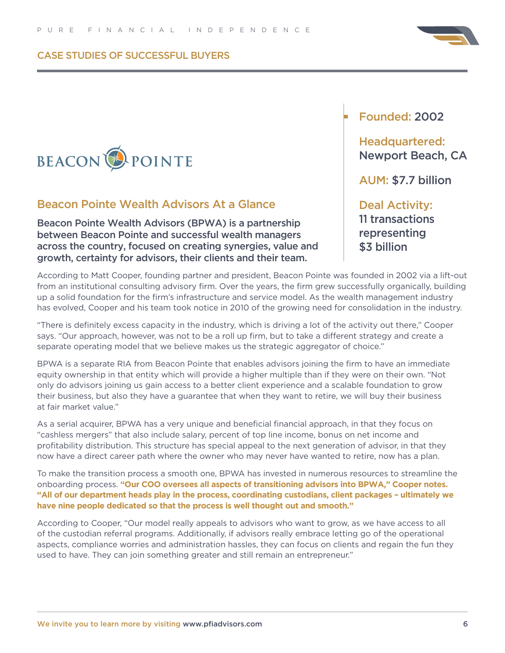

### Beacon Pointe Wealth Advisors At a Glance

Beacon Pointe Wealth Advisors (BPWA) is a partnership between Beacon Pointe and successful wealth managers across the country, focused on creating synergies, value and growth, certainty for advisors, their clients and their team.

## Founded: 2002

Headquartered: Newport Beach, CA

AUM: \$7.7 billion

#### Deal Activity:  $\mathcal{L}$

11 transactions representing \$3 billion

According to Matt Cooper, founding partner and president, Beacon Pointe was founded in 2002 via a lift-out from an institutional consulting advisory firm. Over the years, the firm grew successfully organically, building up a solid foundation for the firm's infrastructure and service model. As the wealth management industry has evolved, Cooper and his team took notice in 2010 of the growing need for consolidation in the industry.

"There is definitely excess capacity in the industry, which is driving a lot of the activity out there," Cooper says. "Our approach, however, was not to be a roll up firm, but to take a different strategy and create a separate operating model that we believe makes us the strategic aggregator of choice."

BPWA is a separate RIA from Beacon Pointe that enables advisors joining the firm to have an immediate equity ownership in that entity which will provide a higher multiple than if they were on their own. "Not only do advisors joining us gain access to a better client experience and a scalable foundation to grow their business, but also they have a guarantee that when they want to retire, we will buy their business at fair market value."

As a serial acquirer, BPWA has a very unique and beneficial financial approach, in that they focus on "cashless mergers" that also include salary, percent of top line income, bonus on net income and profitability distribution. This structure has special appeal to the next generation of advisor, in that they now have a direct career path where the owner who may never have wanted to retire, now has a plan.

To make the transition process a smooth one, BPWA has invested in numerous resources to streamline the onboarding process. **"Our COO oversees all aspects of transitioning advisors into BPWA," Cooper notes. "All of our department heads play in the process, coordinating custodians, client packages – ultimately we have nine people dedicated so that the process is well thought out and smooth."**

According to Cooper, "Our model really appeals to advisors who want to grow, as we have access to all of the custodian referral programs. Additionally, if advisors really embrace letting go of the operational aspects, compliance worries and administration hassles, they can focus on clients and regain the fun they used to have. They can join something greater and still remain an entrepreneur."

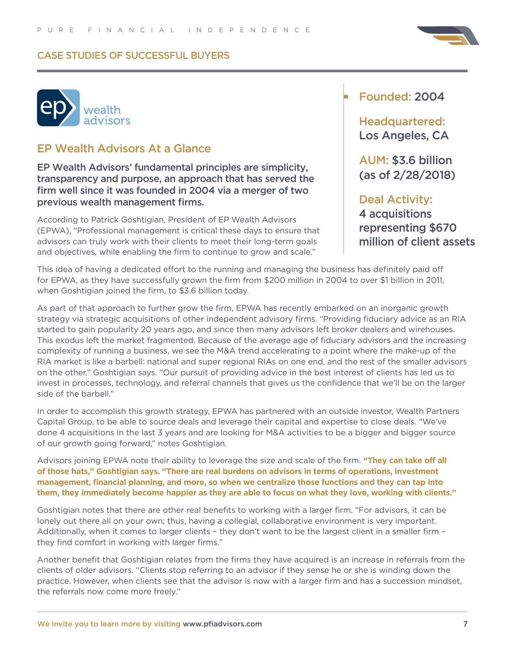



## EP Wealth Advisors At a Glance

EP Wealth Advisors' fundamental principles are simplicity, transparency and purpose, an approach that has served the firm well since it was founded in 2004 via a merger of two previous wealth management firms.

According to Patrick Goshtigian, President of EP Wealth Advisors (EPWA), "Professional management is critical these days to ensure that advisors can truly work with their clients to meet their long-term goals and objectives, while enabling the firm to continue to grow and scale."

### Founded: 2004

Headquartered: Los Angeles, CA

AUM: \$3.6 billion (as of 2/28/2018)

ity 4 acquisitions R G B Deal Activity: R G B representing \$670 million of client assets

This idea of having a dedicated effort to the running and managing the business has definitely paid off for EPWA, as they have successfully grown the firm from \$200 million in 2004 to over \$1 billion in 2011, when Goshtigian joined the firm, to \$3.6 billion today.

As part of that approach to further grow the firm, EPWA has recently embarked on an inorganic growth strategy via strategic acquisitions of other independent advisory firms. "Providing fiduciary advice as an RIA started to gain popularity 20 years ago, and since then many advisors left broker dealers and wirehouses. This exodus left the market fragmented. Because of the average age of fiduciary advisors and the increasing complexity of running a business, we see the M&A trend accelerating to a point where the make-up of the RIA market is like a barbell: national and super regional RIAs on one end, and the rest of the smaller advisors on the other," Goshtigian says. "Our pursuit of providing advice in the best interest of clients has led us to invest in processes, technology, and referral channels that gives us the confidence that we'll be on the larger side of the barbell."

In order to accomplish this growth strategy, EPWA has partnered with an outside investor, Wealth Partners Capital Group, to be able to source deals and leverage their capital and expertise to close deals. "We've done 4 acquisitions in the last 3 years and are looking for M&A activities to be a bigger and bigger source of our growth going forward," notes Goshtigian.

Advisors joining EPWA note their ability to leverage the size and scale of the firm. **"They can take off all of those hats," Goshtigian says. "There are real burdens on advisors in terms of operations, investment management, financial planning, and more, so when we centralize those functions and they can tap into them, they immediately become happier as they are able to focus on what they love, working with clients."**

Goshtigian notes that there are other real benefits to working with a larger firm. "For advisors, it can be lonely out there all on your own; thus, having a collegial, collaborative environment is very important. Additionally, when it comes to larger clients – they don't want to be the largest client in a smaller firm – they find comfort in working with larger firms."

Another benefit that Goshtigian relates from the firms they have acquired is an increase in referrals from the clients of older advisors. "Clients stop referring to an advisor if they sense he or she is winding down the practice. However, when clients see that the advisor is now with a larger firm and has a succession mindset, the referrals now come more freely."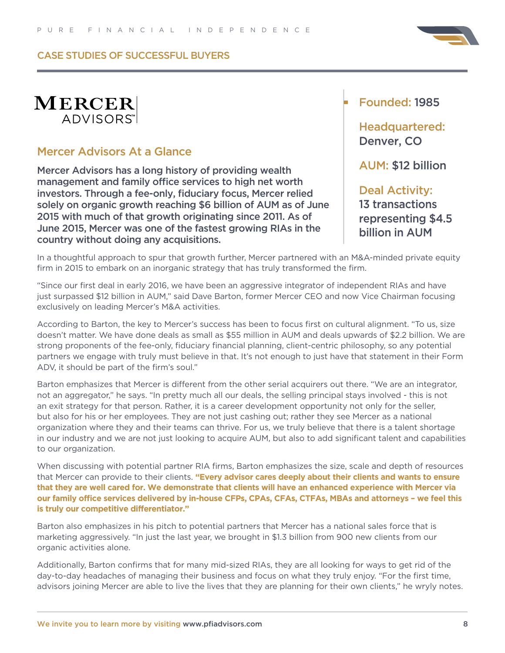

## **MERCER** ADVISORS<sup>"</sup>

## Mercer Advisors At a Glance

Mercer Advisors has a long history of providing wealth management and family office services to high net worth investors. Through a fee-only, fiduciary focus, Mercer relied solely on organic growth reaching \$6 billion of AUM as of June 2015 with much of that growth originating since 2011. As of June 2015, Mercer was one of the fastest growing RIAs in the country without doing any acquisitions.

### Founded: 1985

Headquartered: Denver, CO

AUM: \$12 billion

Deal Activity: 13 transactions representing \$4.5 billion in AUM

In a thoughtful approach to spur that growth further, Mercer partnered with an M&A-minded private equity firm in 2015 to embark on an inorganic strategy that has truly transformed the firm.

"Since our first deal in early 2016, we have been an aggressive integrator of independent RIAs and have just surpassed \$12 billion in AUM," said Dave Barton, former Mercer CEO and now Vice Chairman focusing exclusively on leading Mercer's M&A activities.

According to Barton, the key to Mercer's success has been to focus first on cultural alignment. "To us, size doesn't matter. We have done deals as small as \$55 million in AUM and deals upwards of \$2.2 billion. We are strong proponents of the fee-only, fiduciary financial planning, client-centric philosophy, so any potential partners we engage with truly must believe in that. It's not enough to just have that statement in their Form ADV, it should be part of the firm's soul."

Barton emphasizes that Mercer is different from the other serial acquirers out there. "We are an integrator, not an aggregator," he says. "In pretty much all our deals, the selling principal stays involved - this is not an exit strategy for that person. Rather, it is a career development opportunity not only for the seller, but also for his or her employees. They are not just cashing out; rather they see Mercer as a national organization where they and their teams can thrive. For us, we truly believe that there is a talent shortage in our industry and we are not just looking to acquire AUM, but also to add significant talent and capabilities to our organization.

When discussing with potential partner RIA firms, Barton emphasizes the size, scale and depth of resources that Mercer can provide to their clients. **"Every advisor cares deeply about their clients and wants to ensure that they are well cared for. We demonstrate that clients will have an enhanced experience with Mercer via our family office services delivered by in-house CFPs, CPAs, CFAs, CTFAs, MBAs and attorneys – we feel this is truly our competitive differentiator."** 

Barton also emphasizes in his pitch to potential partners that Mercer has a national sales force that is marketing aggressively. "In just the last year, we brought in \$1.3 billion from 900 new clients from our organic activities alone.

Additionally, Barton confirms that for many mid-sized RIAs, they are all looking for ways to get rid of the day-to-day headaches of managing their business and focus on what they truly enjoy. "For the first time, advisors joining Mercer are able to live the lives that they are planning for their own clients," he wryly notes.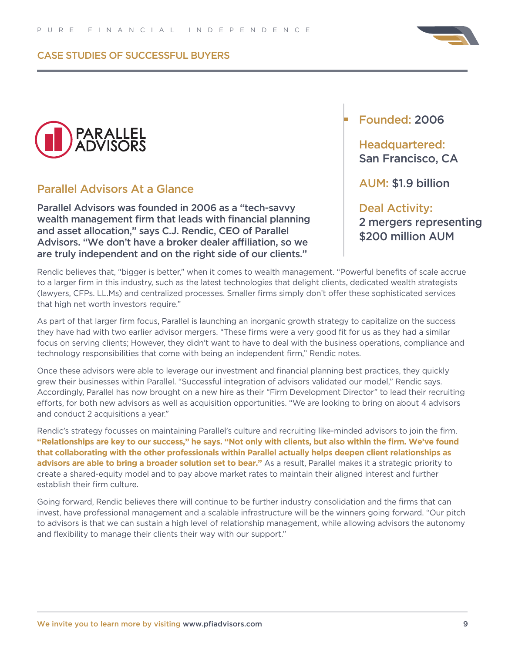



## Parallel Advisors At a Glance

Parallel Advisors was founded in 2006 as a "tech-savvy wealth management firm that leads with financial planning and asset allocation," says C.J. Rendic, CEO of Parallel Advisors. "We don't have a broker dealer affiliation, so we are truly independent and on the right side of our clients."

## Founded: 2006

## Headquartered: San Francisco, CA

AUM: \$1.9 billion

## Deal Activity: 2 mergers representing \$200 million AUM

Rendic believes that, "bigger is better," when it comes to wealth management. "Powerful benefits of scale accrue to a larger firm in this industry, such as the latest technologies that delight clients, dedicated wealth strategists (lawyers, CFPs. LL.Ms) and centralized processes. Smaller firms simply don't offer these sophisticated services that high net worth investors require."

As part of that larger firm focus, Parallel is launching an inorganic growth strategy to capitalize on the success they have had with two earlier advisor mergers. "These firms were a very good fit for us as they had a similar focus on serving clients; However, they didn't want to have to deal with the business operations, compliance and technology responsibilities that come with being an independent firm," Rendic notes.

Once these advisors were able to leverage our investment and financial planning best practices, they quickly grew their businesses within Parallel. "Successful integration of advisors validated our model," Rendic says. Accordingly, Parallel has now brought on a new hire as their "Firm Development Director" to lead their recruiting efforts, for both new advisors as well as acquisition opportunities. "We are looking to bring on about 4 advisors and conduct 2 acquisitions a year."

Rendic's strategy focusses on maintaining Parallel's culture and recruiting like-minded advisors to join the firm. **"Relationships are key to our success," he says. "Not only with clients, but also within the firm. We've found that collaborating with the other professionals within Parallel actually helps deepen client relationships as advisors are able to bring a broader solution set to bear."** As a result, Parallel makes it a strategic priority to create a shared-equity model and to pay above market rates to maintain their aligned interest and further establish their firm culture.

Going forward, Rendic believes there will continue to be further industry consolidation and the firms that can invest, have professional management and a scalable infrastructure will be the winners going forward. "Our pitch to advisors is that we can sustain a high level of relationship management, while allowing advisors the autonomy and flexibility to manage their clients their way with our support."